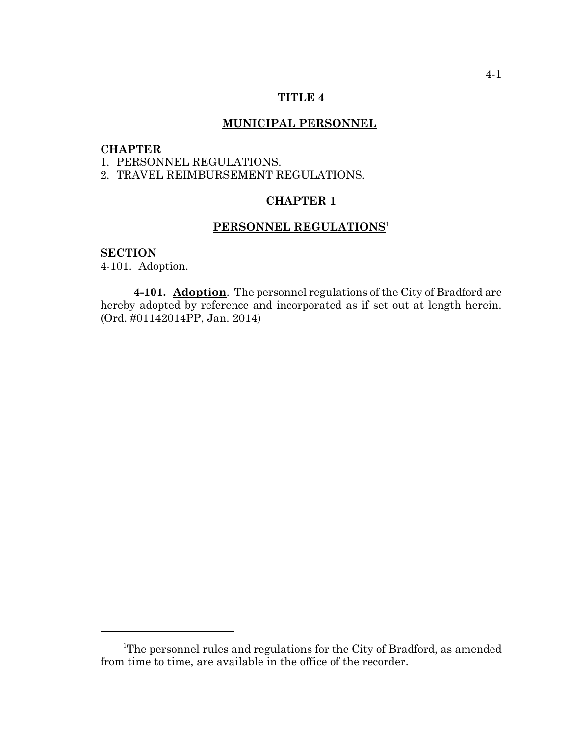### **TITLE 4**

# **MUNICIPAL PERSONNEL**

# **CHAPTER**

1. PERSONNEL REGULATIONS.

2. TRAVEL REIMBURSEMENT REGULATIONS.

# **CHAPTER 1**

# **PERSONNEL REGULATIONS**<sup>1</sup>

#### **SECTION**

4-101. Adoption.

**4-101. Adoption**. The personnel regulations of the City of Bradford are hereby adopted by reference and incorporated as if set out at length herein. (Ord. #01142014PP, Jan. 2014)

<sup>&</sup>lt;sup>1</sup>The personnel rules and regulations for the City of Bradford, as amended from time to time, are available in the office of the recorder.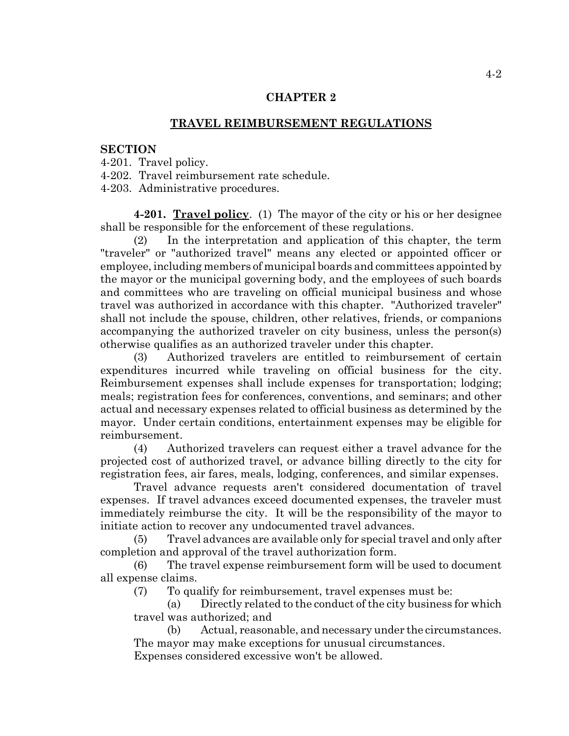# **CHAPTER 2**

# **TRAVEL REIMBURSEMENT REGULATIONS**

#### **SECTION**

4-201. Travel policy.

4-202. Travel reimbursement rate schedule.

4-203. Administrative procedures.

**4-201. Travel policy**. (1) The mayor of the city or his or her designee shall be responsible for the enforcement of these regulations.

(2) In the interpretation and application of this chapter, the term "traveler" or "authorized travel" means any elected or appointed officer or employee, including members of municipal boards and committees appointed by the mayor or the municipal governing body, and the employees of such boards and committees who are traveling on official municipal business and whose travel was authorized in accordance with this chapter. "Authorized traveler" shall not include the spouse, children, other relatives, friends, or companions accompanying the authorized traveler on city business, unless the person(s) otherwise qualifies as an authorized traveler under this chapter.

(3) Authorized travelers are entitled to reimbursement of certain expenditures incurred while traveling on official business for the city. Reimbursement expenses shall include expenses for transportation; lodging; meals; registration fees for conferences, conventions, and seminars; and other actual and necessary expenses related to official business as determined by the mayor. Under certain conditions, entertainment expenses may be eligible for reimbursement.

(4) Authorized travelers can request either a travel advance for the projected cost of authorized travel, or advance billing directly to the city for registration fees, air fares, meals, lodging, conferences, and similar expenses.

Travel advance requests aren't considered documentation of travel expenses. If travel advances exceed documented expenses, the traveler must immediately reimburse the city. It will be the responsibility of the mayor to initiate action to recover any undocumented travel advances.

(5) Travel advances are available only for special travel and only after completion and approval of the travel authorization form.

(6) The travel expense reimbursement form will be used to document all expense claims.

(7) To qualify for reimbursement, travel expenses must be:

(a) Directly related to the conduct of the city business for which travel was authorized; and

(b) Actual, reasonable, and necessary under the circumstances. The mayor may make exceptions for unusual circumstances. Expenses considered excessive won't be allowed.